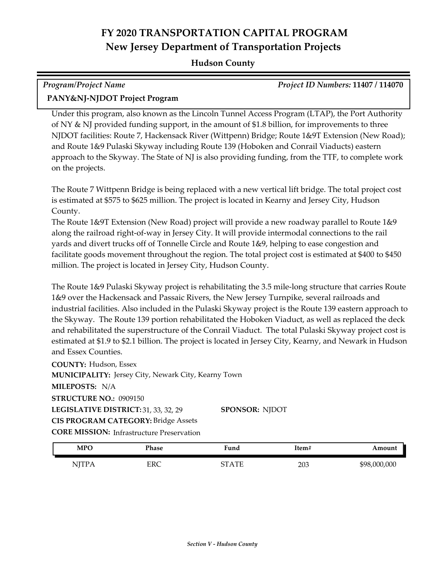# **FY 2020 TRANSPORTATION CAPITAL PROGRAM New Jersey Department of Transportation Projects**

#### **Hudson County**

| Program/Project Name          | <b>Project ID Numbers: 11407 / 114070</b> |
|-------------------------------|-------------------------------------------|
| PANY&NJ-NJDOT Project Program |                                           |

Under this program, also known as the Lincoln Tunnel Access Program (LTAP), the Port Authority of NY & NJ provided funding support, in the amount of \$1.8 billion, for improvements to three NJDOT facilities: Route 7, Hackensack River (Wittpenn) Bridge; Route 1&9T Extension (New Road); and Route 1&9 Pulaski Skyway including Route 139 (Hoboken and Conrail Viaducts) eastern approach to the Skyway. The State of NJ is also providing funding, from the TTF, to complete work on the projects.

The Route 7 Wittpenn Bridge is being replaced with a new vertical lift bridge. The total project cost is estimated at \$575 to \$625 million. The project is located in Kearny and Jersey City, Hudson County.

The Route 1&9T Extension (New Road) project will provide a new roadway parallel to Route 1&9 along the railroad right-of-way in Jersey City. It will provide intermodal connections to the rail yards and divert trucks off of Tonnelle Circle and Route 1&9, helping to ease congestion and facilitate goods movement throughout the region. The total project cost is estimated at \$400 to \$450 million. The project is located in Jersey City, Hudson County.

The Route 1&9 Pulaski Skyway project is rehabilitating the 3.5 mile-long structure that carries Route 1&9 over the Hackensack and Passaic Rivers, the New Jersey Turnpike, several railroads and industrial facilities. Also included in the Pulaski Skyway project is the Route 139 eastern approach to the Skyway. The Route 139 portion rehabilitated the Hoboken Viaduct, as well as replaced the deck and rehabilitated the superstructure of the Conrail Viaduct. The total Pulaski Skyway project cost is estimated at \$1.9 to \$2.1 billion. The project is located in Jersey City, Kearny, and Newark in Hudson and Essex Counties.

**COUNTY:** Hudson, Essex LEGISLATIVE DISTRICT: 31, 33, 32, 29 **MILEPOSTS:** N/A **STRUCTURE NO.:** 0909150 **MUNICIPALITY: Jersey City, Newark City, Kearny Town CORE MISSION:** Infrastructure Preservation **SPONSOR:** NJDOT **CIS PROGRAM CATEGORY:** Bridge Assets

| <b>MPO</b> | Phase | Fund                | Item# | Amount       |
|------------|-------|---------------------|-------|--------------|
| NITPA      | ERC   | $\Lambda$ TT<br>חדר | 203   | \$98,000,000 |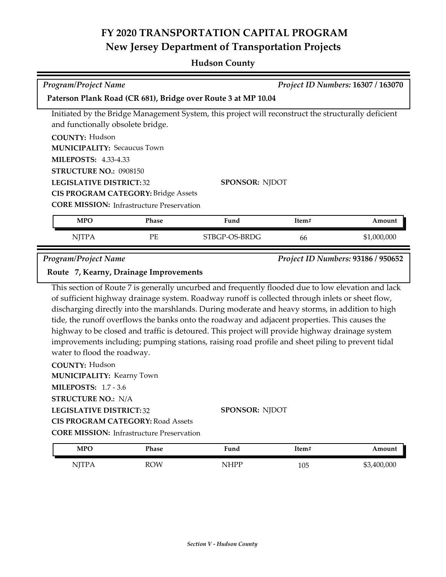## **FY 2020 TRANSPORTATION CAPITAL PROGRAM New Jersey Department of Transportation Projects**

#### **Hudson County**

| <b>Program/Project Name</b><br><b>Project ID Numbers: 16307 / 163070</b>                            |                                   |               |       |             |
|-----------------------------------------------------------------------------------------------------|-----------------------------------|---------------|-------|-------------|
| Paterson Plank Road (CR 681), Bridge over Route 3 at MP 10.04                                       |                                   |               |       |             |
| Initiated by the Bridge Management System, this project will reconstruct the structurally deficient |                                   |               |       |             |
|                                                                                                     | and functionally obsolete bridge. |               |       |             |
| <b>COUNTY: Hudson</b>                                                                               |                                   |               |       |             |
| <b>MUNICIPALITY: Secaucus Town</b>                                                                  |                                   |               |       |             |
| <b>MILEPOSTS: 4.33-4.33</b>                                                                         |                                   |               |       |             |
| STRUCTURE NO.: 0908150                                                                              |                                   |               |       |             |
| <b>LEGISLATIVE DISTRICT: 32</b><br><b>SPONSOR: NJDOT</b>                                            |                                   |               |       |             |
| <b>CIS PROGRAM CATEGORY: Bridge Assets</b>                                                          |                                   |               |       |             |
| <b>CORE MISSION:</b> Infrastructure Preservation                                                    |                                   |               |       |             |
| <b>MPO</b>                                                                                          | <b>Phase</b>                      | Fund          | Item# | Amount      |
| <b>NJTPA</b>                                                                                        | <b>PE</b>                         | STBGP-OS-BRDG | 66    | \$1,000,000 |

*Program/Project Name Project ID Numbers:* **93186 / 950652**

#### **Route 7, Kearny, Drainage Improvements**

This section of Route 7 is generally uncurbed and frequently flooded due to low elevation and lack of sufficient highway drainage system. Roadway runoff is collected through inlets or sheet flow, discharging directly into the marshlands. During moderate and heavy storms, in addition to high tide, the runoff overflows the banks onto the roadway and adjacent properties. This causes the highway to be closed and traffic is detoured. This project will provide highway drainage system improvements including; pumping stations, raising road profile and sheet piling to prevent tidal water to flood the roadway.

| <b>COUNTY: Hudson</b>                            |                       |
|--------------------------------------------------|-----------------------|
| <b>MUNICIPALITY: Kearny Town</b>                 |                       |
| <b>MILEPOSTS: 1.7 - 3.6</b>                      |                       |
| <b>STRUCTURE NO.: N/A</b>                        |                       |
| <b>LEGISLATIVE DISTRICT: 32</b>                  | <b>SPONSOR: NJDOT</b> |
| <b>CIS PROGRAM CATEGORY: Road Assets</b>         |                       |
| <b>CORE MISSION:</b> Infrastructure Preservation |                       |
|                                                  |                       |

| <b>MPO</b>  | Phase      | Fund              | <sup>T</sup> tem# | mount       |
|-------------|------------|-------------------|-------------------|-------------|
| <b>TTTT</b> | <b>ROW</b> | <b>ILIDE</b><br>N | 105               | \$3,400,000 |